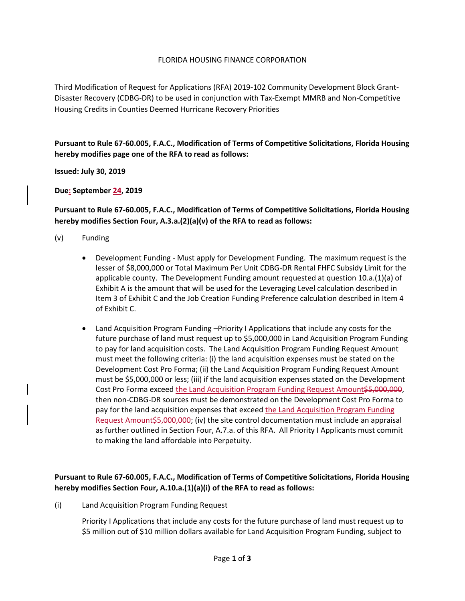### FLORIDA HOUSING FINANCE CORPORATION

Third Modification of Request for Applications (RFA) 2019-102 Community Development Block Grant-Disaster Recovery (CDBG-DR) to be used in conjunction with Tax-Exempt MMRB and Non-Competitive Housing Credits in Counties Deemed Hurricane Recovery Priorities

**Pursuant to Rule 67-60.005, F.A.C., Modification of Terms of Competitive Solicitations, Florida Housing hereby modifies page one of the RFA to read as follows:**

**Issued: July 30, 2019**

**Due: September 24, 2019**

### **Pursuant to Rule 67-60.005, F.A.C., Modification of Terms of Competitive Solicitations, Florida Housing hereby modifies Section Four, A.3.a.(2)(a)(v) of the RFA to read as follows:**

- (v) Funding
	- Development Funding Must apply for Development Funding. The maximum request is the lesser of \$8,000,000 or Total Maximum Per Unit CDBG-DR Rental FHFC Subsidy Limit for the applicable county. The Development Funding amount requested at question 10.a.(1)(a) of Exhibit A is the amount that will be used for the Leveraging Level calculation described in Item 3 of Exhibit C and the Job Creation Funding Preference calculation described in Item 4 of Exhibit C.
	- Land Acquisition Program Funding –Priority I Applications that include any costs for the future purchase of land must request up to \$5,000,000 in Land Acquisition Program Funding to pay for land acquisition costs. The Land Acquisition Program Funding Request Amount must meet the following criteria: (i) the land acquisition expenses must be stated on the Development Cost Pro Forma; (ii) the Land Acquisition Program Funding Request Amount must be \$5,000,000 or less; (iii) if the land acquisition expenses stated on the Development Cost Pro Forma exceed the Land Acquisition Program Funding Request Amount\$5,000,000, then non-CDBG-DR sources must be demonstrated on the Development Cost Pro Forma to pay for the land acquisition expenses that exceed the Land Acquisition Program Funding Request Amount\$5,000,000; (iv) the site control documentation must include an appraisal as further outlined in Section Four, A.7.a. of this RFA. All Priority I Applicants must commit to making the land affordable into Perpetuity.

# **Pursuant to Rule 67-60.005, F.A.C., Modification of Terms of Competitive Solicitations, Florida Housing hereby modifies Section Four, A.10.a.(1)(a)(i) of the RFA to read as follows:**

(i) Land Acquisition Program Funding Request

Priority I Applications that include any costs for the future purchase of land must request up to \$5 million out of \$10 million dollars available for Land Acquisition Program Funding, subject to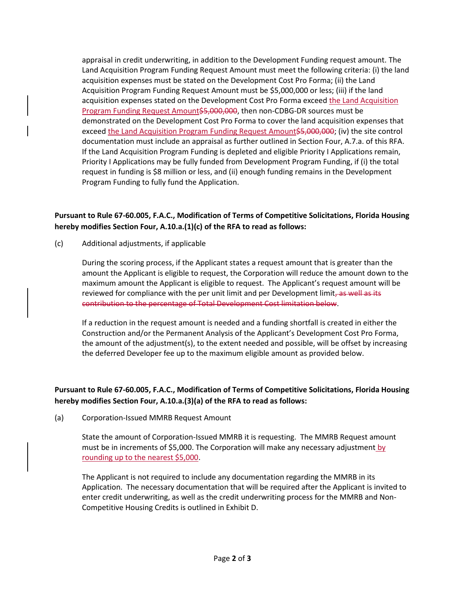appraisal in credit underwriting, in addition to the Development Funding request amount. The Land Acquisition Program Funding Request Amount must meet the following criteria: (i) the land acquisition expenses must be stated on the Development Cost Pro Forma; (ii) the Land Acquisition Program Funding Request Amount must be \$5,000,000 or less; (iii) if the land acquisition expenses stated on the Development Cost Pro Forma exceed the Land Acquisition Program Funding Request Amount\$5,000,000, then non-CDBG-DR sources must be demonstrated on the Development Cost Pro Forma to cover the land acquisition expenses that exceed the Land Acquisition Program Funding Request Amount\$5,000,000; (iv) the site control documentation must include an appraisal as further outlined in Section Four, A.7.a. of this RFA. If the Land Acquisition Program Funding is depleted and eligible Priority I Applications remain, Priority I Applications may be fully funded from Development Program Funding, if (i) the total request in funding is \$8 million or less, and (ii) enough funding remains in the Development Program Funding to fully fund the Application.

# **Pursuant to Rule 67-60.005, F.A.C., Modification of Terms of Competitive Solicitations, Florida Housing hereby modifies Section Four, A.10.a.(1)(c) of the RFA to read as follows:**

(c) Additional adjustments, if applicable

During the scoring process, if the Applicant states a request amount that is greater than the amount the Applicant is eligible to request, the Corporation will reduce the amount down to the maximum amount the Applicant is eligible to request. The Applicant's request amount will be reviewed for compliance with the per unit limit and per Development limit, as well as its contribution to the percentage of Total Development Cost limitation below.

If a reduction in the request amount is needed and a funding shortfall is created in either the Construction and/or the Permanent Analysis of the Applicant's Development Cost Pro Forma, the amount of the adjustment(s), to the extent needed and possible, will be offset by increasing the deferred Developer fee up to the maximum eligible amount as provided below.

# **Pursuant to Rule 67-60.005, F.A.C., Modification of Terms of Competitive Solicitations, Florida Housing hereby modifies Section Four, A.10.a.(3)(a) of the RFA to read as follows:**

(a) Corporation-Issued MMRB Request Amount

State the amount of Corporation-Issued MMRB it is requesting. The MMRB Request amount must be in increments of \$5,000. The Corporation will make any necessary adjustment by rounding up to the nearest \$5,000.

The Applicant is not required to include any documentation regarding the MMRB in its Application. The necessary documentation that will be required after the Applicant is invited to enter credit underwriting, as well as the credit underwriting process for the MMRB and Non-Competitive Housing Credits is outlined in Exhibit D.